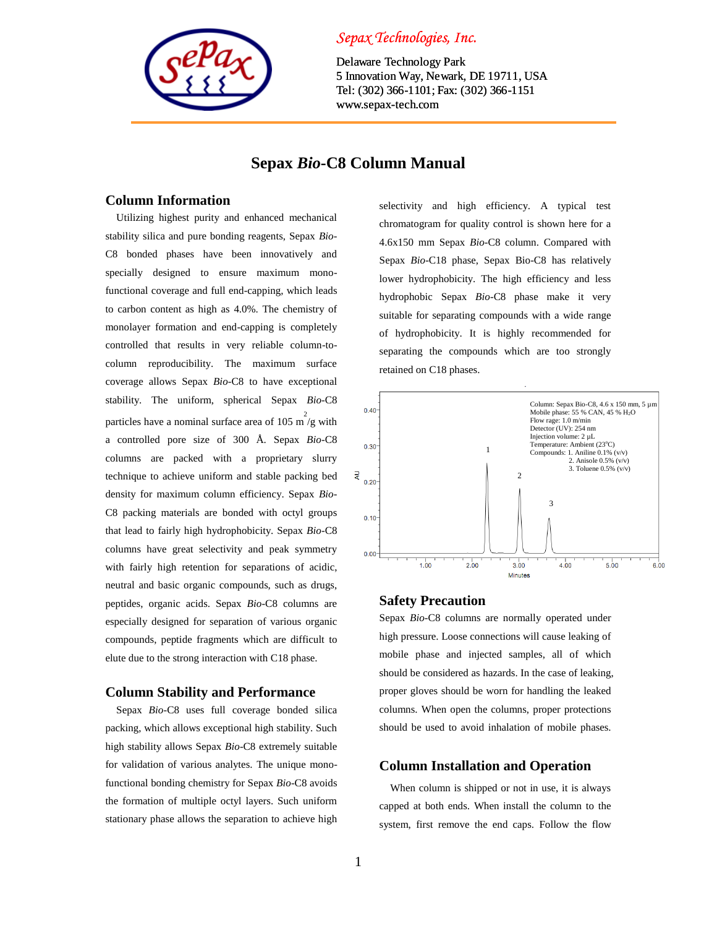

## *Sepax Technologies, Inc.*

Delaware Technology Park 5 Innovation Way, Newark, DE 19711, USA Tel: (302) 366-1101; Fax: (302) 366-1151 www.sepax-tech.com

### **Sepax** *Bio***-C8 Column Manual**

#### **Column Information**

Utilizing highest purity and enhanced mechanical stability silica and pure bonding reagents, Sepax *Bio*-C8 bonded phases have been innovatively and specially designed to ensure maximum monofunctional coverage and full end-capping, which leads to carbon content as high as 4.0%. The chemistry of monolayer formation and end-capping is completely controlled that results in very reliable column-tocolumn reproducibility. The maximum surface coverage allows Sepax *Bio*-C8 to have exceptional stability. The uniform, spherical Sepax *Bio*-C8 particles have a nominal surface area of 105 m<sup>2</sup>/g with a controlled pore size of 300 Å. Sepax *Bio*-C8 columns are packed with a proprietary slurry technique to achieve uniform and stable packing bed density for maximum column efficiency. Sepax *Bio*-C8 packing materials are bonded with octyl groups that lead to fairly high hydrophobicity. Sepax *Bio*-C8 columns have great selectivity and peak symmetry with fairly high retention for separations of acidic, neutral and basic organic compounds, such as drugs, peptides, organic acids. Sepax *Bio*-C8 columns are especially designed for separation of various organic compounds, peptide fragments which are difficult to elute due to the strong interaction with C18 phase.

#### **Column Stability and Performance**

Sepax *Bio*-C8 uses full coverage bonded silica packing, which allows exceptional high stability. Such high stability allows Sepax *Bio*-C8 extremely suitable for validation of various analytes. The unique monofunctional bonding chemistry for Sepax *Bio*-C8 avoids the formation of multiple octyl layers. Such uniform stationary phase allows the separation to achieve high selectivity and high efficiency. A typical test chromatogram for quality control is shown here for a 4.6x150 mm Sepax *Bio*-C8 column. Compared with Sepax *Bio*-C18 phase, Sepax Bio-C8 has relatively lower hydrophobicity. The high efficiency and less hydrophobic Sepax *Bio*-C8 phase make it very suitable for separating compounds with a wide range of hydrophobicity. It is highly recommended for separating the compounds which are too strongly retained on C18 phases.



#### **Safety Precaution**

Sepax *Bio*-C8 columns are normally operated under high pressure. Loose connections will cause leaking of mobile phase and injected samples, all of which should be considered as hazards. In the case of leaking, proper gloves should be worn for handling the leaked columns. When open the columns, proper protections should be used to avoid inhalation of mobile phases.

#### **Column Installation and Operation**

When column is shipped or not in use, it is always capped at both ends. When install the column to the system, first remove the end caps. Follow the flow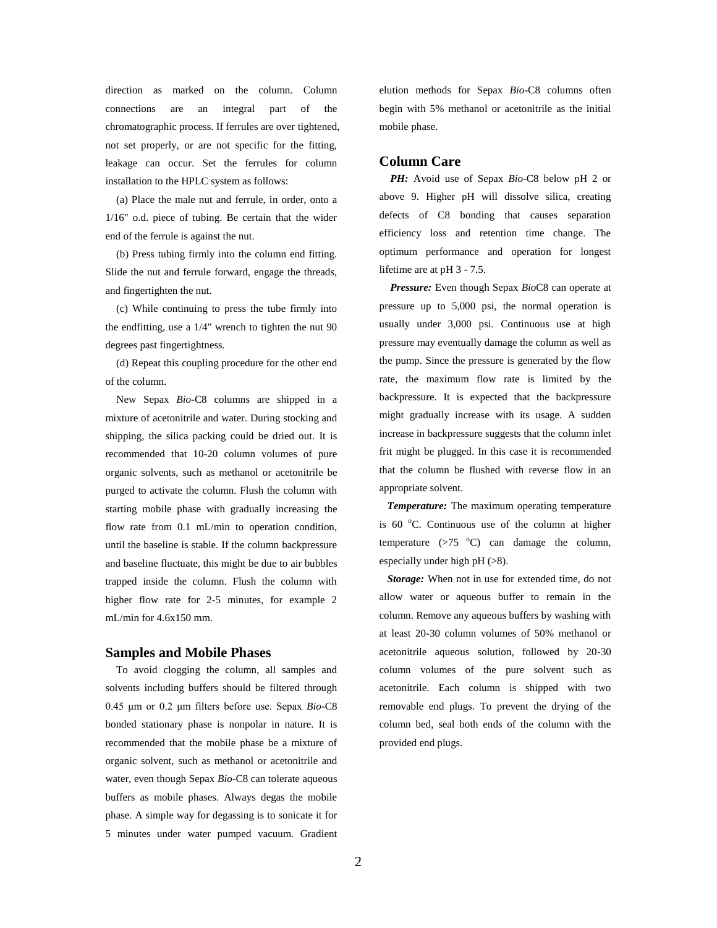direction as marked on the column. Column connections are an integral part of the chromatographic process. If ferrules are over tightened, not set properly, or are not specific for the fitting, leakage can occur. Set the ferrules for column installation to the HPLC system as follows:

(a) Place the male nut and ferrule, in order, onto a 1/16" o.d. piece of tubing. Be certain that the wider end of the ferrule is against the nut.

(b) Press tubing firmly into the column end fitting. Slide the nut and ferrule forward, engage the threads, and fingertighten the nut.

(c) While continuing to press the tube firmly into the endfitting, use a 1/4" wrench to tighten the nut 90 degrees past fingertightness.

(d) Repeat this coupling procedure for the other end of the column.

New Sepax *Bio*-C8 columns are shipped in a mixture of acetonitrile and water. During stocking and shipping, the silica packing could be dried out. It is recommended that 10-20 column volumes of pure organic solvents, such as methanol or acetonitrile be purged to activate the column. Flush the column with starting mobile phase with gradually increasing the flow rate from 0.1 mL/min to operation condition, until the baseline is stable. If the column backpressure and baseline fluctuate, this might be due to air bubbles trapped inside the column. Flush the column with higher flow rate for 2-5 minutes, for example 2 mL/min for 4.6x150 mm.

#### **Samples and Mobile Phases**

To avoid clogging the column, all samples and solvents including buffers should be filtered through 0.45 μm or 0.2 μm filters before use. Sepax *Bio*-C8 bonded stationary phase is nonpolar in nature. It is recommended that the mobile phase be a mixture of organic solvent, such as methanol or acetonitrile and water, even though Sepax *Bio*-C8 can tolerate aqueous buffers as mobile phases. Always degas the mobile phase. A simple way for degassing is to sonicate it for 5 minutes under water pumped vacuum. Gradient

elution methods for Sepax *Bio*-C8 columns often begin with 5% methanol or acetonitrile as the initial mobile phase.

#### **Column Care**

*PH:* Avoid use of Sepax *Bio*-C8 below pH 2 or above 9. Higher pH will dissolve silica, creating defects of C8 bonding that causes separation efficiency loss and retention time change. The optimum performance and operation for longest lifetime are at pH 3 - 7.5.

*Pressure:* Even though Sepax *Bio*C8 can operate at pressure up to 5,000 psi, the normal operation is usually under 3,000 psi. Continuous use at high pressure may eventually damage the column as well as the pump. Since the pressure is generated by the flow rate, the maximum flow rate is limited by the backpressure. It is expected that the backpressure might gradually increase with its usage. A sudden increase in backpressure suggests that the column inlet frit might be plugged. In this case it is recommended that the column be flushed with reverse flow in an appropriate solvent.

 *Temperature:* The maximum operating temperature is  $60^{\circ}$ C. Continuous use of the column at higher temperature  $(>75$  °C) can damage the column, especially under high pH (>8).

 *Storage:* When not in use for extended time, do not allow water or aqueous buffer to remain in the column. Remove any aqueous buffers by washing with at least 20-30 column volumes of 50% methanol or acetonitrile aqueous solution, followed by 20-30 column volumes of the pure solvent such as acetonitrile. Each column is shipped with two removable end plugs. To prevent the drying of the column bed, seal both ends of the column with the provided end plugs.